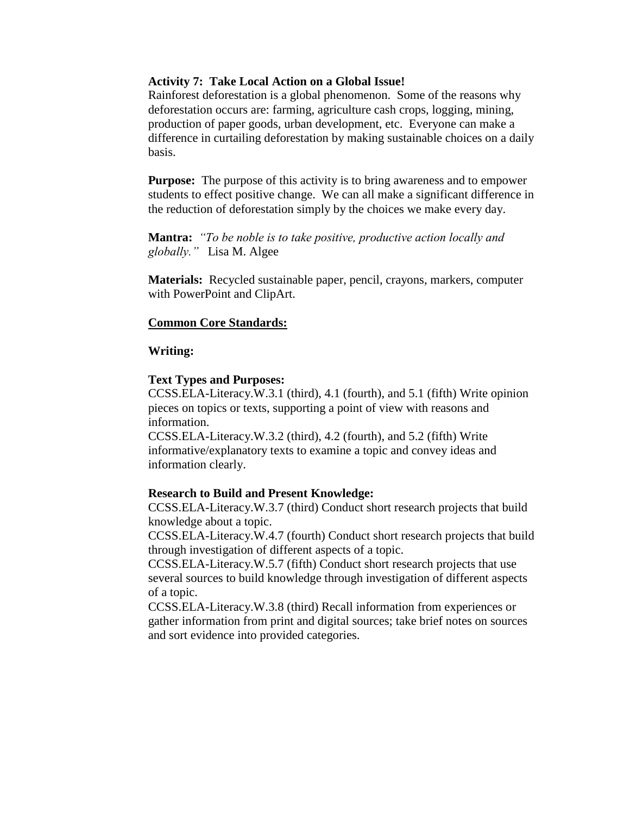### **Activity 7: Take Local Action on a Global Issue!**

Rainforest deforestation is a global phenomenon. Some of the reasons why deforestation occurs are: farming, agriculture cash crops, logging, mining, production of paper goods, urban development, etc. Everyone can make a difference in curtailing deforestation by making sustainable choices on a daily basis.

**Purpose:** The purpose of this activity is to bring awareness and to empower students to effect positive change. We can all make a significant difference in the reduction of deforestation simply by the choices we make every day.

**Mantra:** *"To be noble is to take positive, productive action locally and globally."* Lisa M. Algee

**Materials:** Recycled sustainable paper, pencil, crayons, markers, computer with PowerPoint and ClipArt.

### **Common Core Standards:**

### **Writing:**

#### **Text Types and Purposes:**

CCSS.ELA-Literacy.W.3.1 (third), 4.1 (fourth), and 5.1 (fifth) Write opinion pieces on topics or texts, supporting a point of view with reasons and information.

CCSS.ELA-Literacy.W.3.2 (third), 4.2 (fourth), and 5.2 (fifth) Write informative/explanatory texts to examine a topic and convey ideas and information clearly.

#### **Research to Build and Present Knowledge:**

CCSS.ELA-Literacy.W.3.7 (third) Conduct short research projects that build knowledge about a topic.

CCSS.ELA-Literacy.W.4.7 (fourth) Conduct short research projects that build through investigation of different aspects of a topic.

CCSS.ELA-Literacy.W.5.7 (fifth) Conduct short research projects that use several sources to build knowledge through investigation of different aspects of a topic.

CCSS.ELA-Literacy.W.3.8 (third) Recall information from experiences or gather information from print and digital sources; take brief notes on sources and sort evidence into provided categories.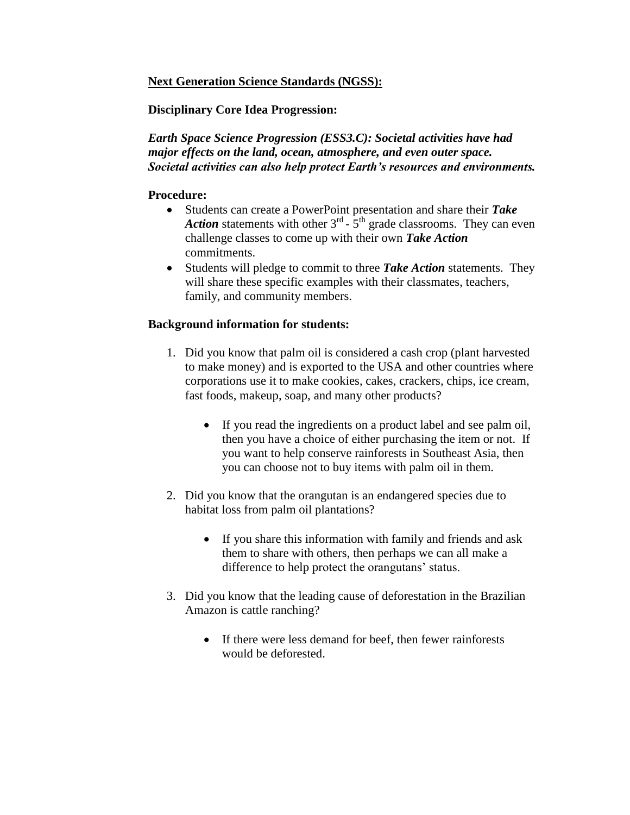# **Next Generation Science Standards (NGSS):**

# **Disciplinary Core Idea Progression:**

*Earth Space Science Progression (ESS3.C): Societal activities have had major effects on the land, ocean, atmosphere, and even outer space. Societal activities can also help protect Earth's resources and environments.* 

## **Procedure:**

- Students can create a PowerPoint presentation and share their *Take*  Action statements with other  $3<sup>rd</sup>$  -  $5<sup>th</sup>$  grade classrooms. They can even challenge classes to come up with their own *Take Action* commitments.
- Students will pledge to commit to three *Take Action* statements. They will share these specific examples with their classmates, teachers, family, and community members.

# **Background information for students:**

- 1. Did you know that palm oil is considered a cash crop (plant harvested to make money) and is exported to the USA and other countries where corporations use it to make cookies, cakes, crackers, chips, ice cream, fast foods, makeup, soap, and many other products?
	- If you read the ingredients on a product label and see palm oil, then you have a choice of either purchasing the item or not. If you want to help conserve rainforests in Southeast Asia, then you can choose not to buy items with palm oil in them.
- 2. Did you know that the orangutan is an endangered species due to habitat loss from palm oil plantations?
	- If you share this information with family and friends and ask them to share with others, then perhaps we can all make a difference to help protect the orangutans' status.
- 3. Did you know that the leading cause of deforestation in the Brazilian Amazon is cattle ranching?
	- If there were less demand for beef, then fewer rainforests would be deforested.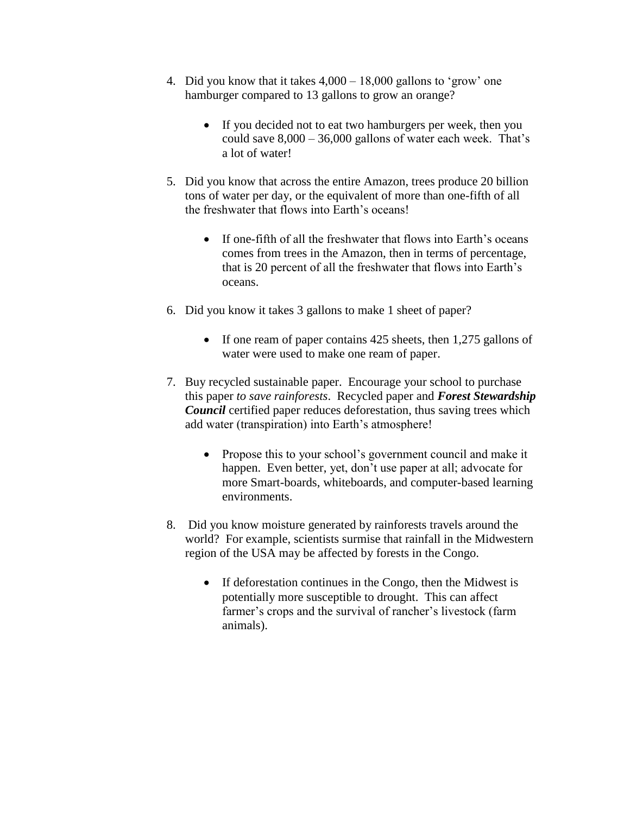- 4. Did you know that it takes 4,000 18,000 gallons to 'grow' one hamburger compared to 13 gallons to grow an orange?
	- If you decided not to eat two hamburgers per week, then you could save  $8,000 - 36,000$  gallons of water each week. That's a lot of water!
- 5. Did you know that across the entire Amazon, trees produce 20 billion tons of water per day, or the equivalent of more than one-fifth of all the freshwater that flows into Earth's oceans!
	- If one-fifth of all the freshwater that flows into Earth's oceans comes from trees in the Amazon, then in terms of percentage, that is 20 percent of all the freshwater that flows into Earth's oceans.
- 6. Did you know it takes 3 gallons to make 1 sheet of paper?
	- If one ream of paper contains 425 sheets, then 1,275 gallons of water were used to make one ream of paper.
- 7. Buy recycled sustainable paper. Encourage your school to purchase this paper *to save rainforests*. Recycled paper and *Forest Stewardship Council* certified paper reduces deforestation, thus saving trees which add water (transpiration) into Earth's atmosphere!
	- Propose this to your school's government council and make it happen. Even better, yet, don't use paper at all; advocate for more Smart-boards, whiteboards, and computer-based learning environments.
- 8. Did you know moisture generated by rainforests travels around the world? For example, scientists surmise that rainfall in the Midwestern region of the USA may be affected by forests in the Congo.
	- If deforestation continues in the Congo, then the Midwest is potentially more susceptible to drought. This can affect farmer's crops and the survival of rancher's livestock (farm animals).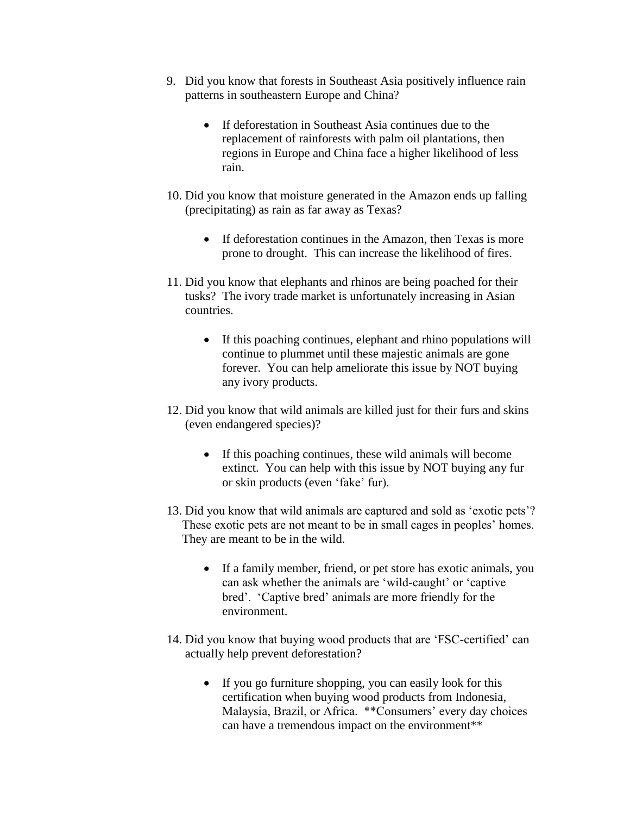- 9. Did you know that forests in Southeast Asia positively influence rain patterns in southeastern Europe and China?
	- If deforestation in Southeast Asia continues due to the replacement of rainforests with palm oil plantations, then regions in Europe and China face a higher likelihood of less rain.
- 10. Did you know that moisture generated in the Amazon ends up falling (precipitating) as rain as far away as Texas?
	- If deforestation continues in the Amazon, then Texas is more prone to drought. This can increase the likelihood of fires.
- 11. Did you know that elephants and rhinos are being poached for their tusks? The ivory trade market is unfortunately increasing in Asian countries.
	- If this poaching continues, elephant and rhino populations will continue to plummet until these majestic animals are gone forever. You can help ameliorate this issue by NOT buying any ivory products.
- 12. Did you know that wild animals are killed just for their furs and skins (even endangered species)?
	- If this poaching continues, these wild animals will become extinct. You can help with this issue by NOT buying any fur or skin products (even 'fake' fur).
- 13. Did you know that wild animals are captured and sold as 'exotic pets'? These exotic pets are not meant to be in small cages in peoples' homes. They are meant to be in the wild.
	- If a family member, friend, or pet store has exotic animals, you can ask whether the animals are 'wild-caught' or 'captive bred'. 'Captive bred' animals are more friendly for the environment.
- 14. Did you know that buying wood products that are 'FSC-certified' can actually help prevent deforestation?
	- If you go furniture shopping, you can easily look for this certification when buying wood products from Indonesia, Malaysia, Brazil, or Africa. \*\*Consumers' every day choices can have a tremendous impact on the environment\*\*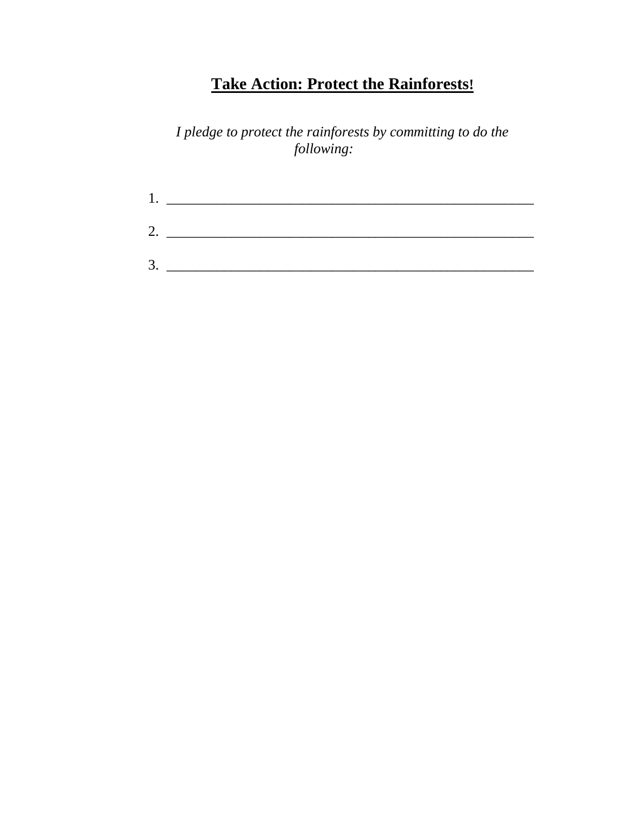# **Take Action: Protect the Rainforests!**

*I pledge to protect the rainforests by committing to do the following:* 

| Ι. |  |  |
|----|--|--|
| 2. |  |  |
| 3. |  |  |